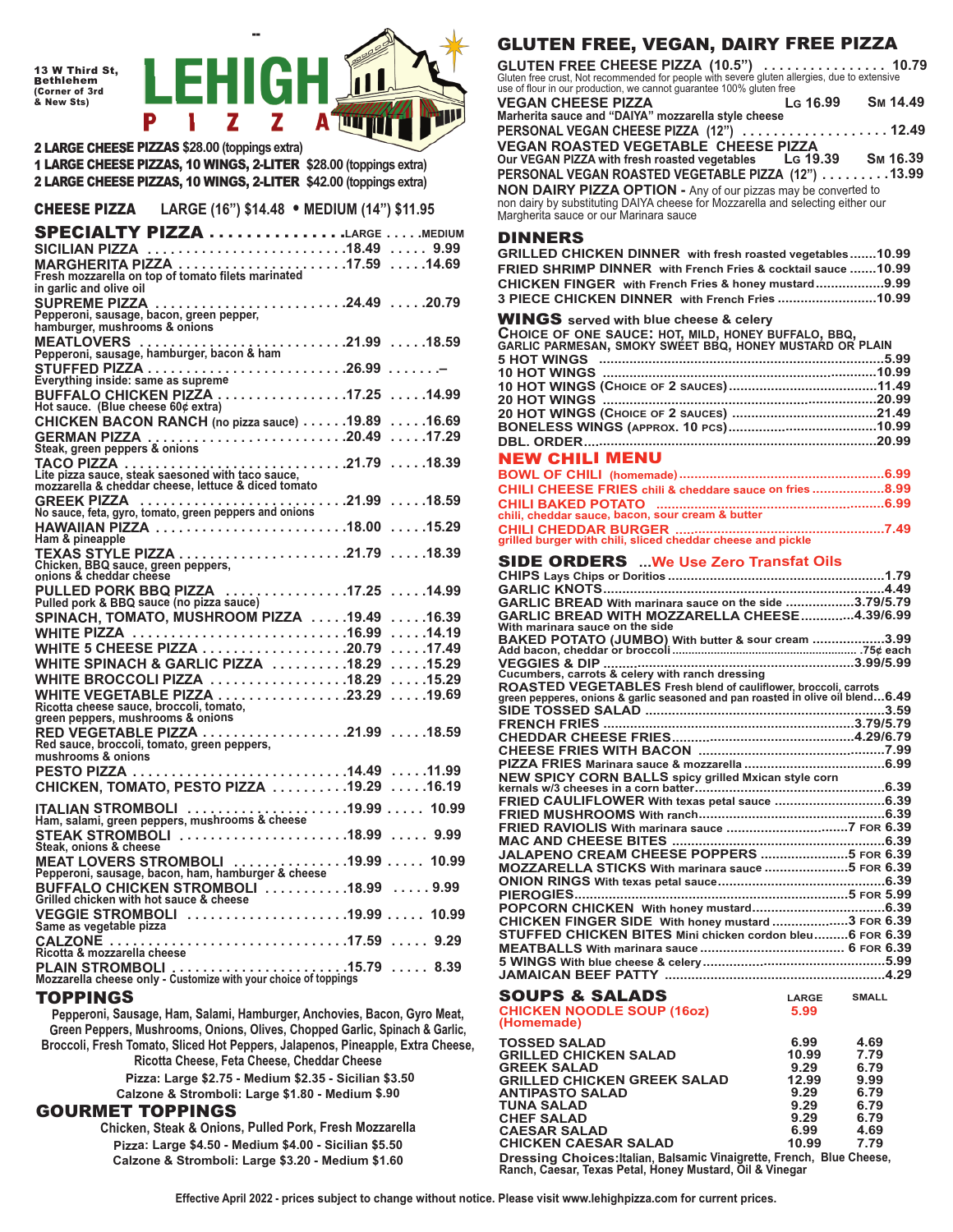13 W Third St, Bethlehem (Corner of 3rd & New Sts)



2 LARGE CHEESE PIZZAS **\$28.00 (toppings extra)** 1 LARGE CHEESE PIZZAS, 10 WINGS, 2-LITER **\$28.00 (toppings extra)** 2 LARGE CHEESE PIZZAS, 10 WINGS, 2-LITER **\$42.00 (toppings extra)**

CHEESE PIZZA **LARGE (16") \$14.48** • **MEDIUM (14") \$11.95**

| <b>SPECIALTY PIZZA LARGE MEDIUM</b>                                                                      |  |
|----------------------------------------------------------------------------------------------------------|--|
| SICILIAN PIZZA 18.49  9.99                                                                               |  |
| in garlic and olive oil                                                                                  |  |
| SUPREME PIZZA 24.49 20.79<br>Pepperoni, sausage, bacon, green pepper,                                    |  |
| hamburger, mushrooms & onions                                                                            |  |
| MEATLOVERS 21.99 18.59<br>Pepperoni, sausage, hamburger, bacon & ham                                     |  |
| Everything inside: same as supreme                                                                       |  |
| BUFFALO CHICKEN PIZZA 17.25 14.99<br>Hot sauce. (Blue cheese 60¢ extra)                                  |  |
| CHICKEN BACON RANCH (no pizza sauce) 19.89 16.69                                                         |  |
|                                                                                                          |  |
|                                                                                                          |  |
| Lite pizza sauce, steak saesoned with taco sauce,<br>mozzarella & cheddar cheese, lettuce & diced tomato |  |
|                                                                                                          |  |
| Ham & pineapple                                                                                          |  |
| Chicken, BBQ sauce, green peppers,<br>onions & cheddar cheese                                            |  |
| PULLED PORK BBQ PIZZA 17.25 14.99<br>Pulled pork & BBQ sauce (no pizza sauce)                            |  |
| SPINACH, TOMATO, MUSHROOM PIZZA 19.49 16.39                                                              |  |
| WHITE PIZZA 16.99<br>$\ldots$ . 14.19                                                                    |  |
| <b>WHITE 5 CHEESE PIZZA 20.79</b><br>$\ldots$ . 17.49                                                    |  |
| WHITE SPINACH & GARLIC PIZZA 18.29 15.29                                                                 |  |
| WHITE BROCCOLI PIZZA 18.29 15.29                                                                         |  |
| Ricotta cheese sauce, broccoli, tomato,<br>green peppers, mushrooms & onions                             |  |
|                                                                                                          |  |
| mushrooms & onions                                                                                       |  |
|                                                                                                          |  |
| CHICKEN, TOMATO, PESTO PIZZA 19.29 16.19                                                                 |  |
| ITALIAN STROMBOLI 19.99  10.99<br>Ham, salami, green peppers, mushrooms & cheese                         |  |
| STEAK STROMBOLI 18.99  9.99<br>Steak, onions & cheese                                                    |  |
| MEAT LOVERS STROMBOLI 19.99  10.99<br>Pepperoni, sausage, bacon, ham, hamburger & cheese                 |  |
| BUFFALO CHICKEN STROMBOLI 18.99 9.99<br>Grilled chicken with hot sauce & cheese                          |  |
| VEGGIE STROMBOLI 19.99  10.99<br>Same as vegetable pizza                                                 |  |
|                                                                                                          |  |
| PLAIN STROMBOLI 15.79  8.39<br>Mozzarella cheese only - Customize with your choice of toppings           |  |

## TOPPINGS

**Pepperoni, Sausage, Ham, Salami, Hamburger, Anchovies, Bacon, Gyro Meat, Green Peppers, Mushrooms, Onions, Olives, Chopped Garlic, Spinach & Garlic, Broccoli, Fresh Tomato, Sliced Hot Peppers, Jalapenos, Pineapple, Extra Cheese, Ricotta Cheese, Feta Cheese, Cheddar Cheese Pizza: Large \$2.75 - Medium \$2.35 - Sicilian \$3.50**

**Calzone & Stromboli: Large \$1.80 - Medium \$.90**

# GOURMET TOPPINGS

**Chicken, Steak & Onions, Pulled Pork, Fresh Mozzarella Pizza: Large \$4.50 - Medium \$4.00 - Sicilian \$5.50 Calzone & Stromboli: Large \$3.20 - Medium \$1.60**

# GLUTEN FREE, VEGAN, DAIRY FREE PIZZA

**GLUTEN FREE CHEESE PIZZA (10.5") . . . . . . . . . . . . . . . . 10.79** Gluten free crust, Not recommended for people with severe gluten allergies, due to extensive use of flour in our production, we cannot guarantee 100% gluten free<br>VEGAN CHEESE PIZZA LG 16.99

**VEGAN CHEESE PIZZA LG 16.99 SM 14.49 Marherita sauce and "DAIYA" mozzarella style cheese** PERSONAL VEGAN CHEESE PIZZA (12") ................... 12.49 **VEGAN ROASTED VEGETABLE CHEESE PIZZA Our VEGAN PIZZA with fresh roasted vegetables LG 19.39 SM 16.39 PERSONAL VEGAN ROASTED VEGETABLE PIZZA (12") . . . . . . . . .13.99 NON DAIRY PIZZA OPTION -** Any of our pizzas may be converted to non dairy by substituting DAIYA cheese for Mozzarella and selecting either our Margherita sauce or our Marinara sauce

## DINNERS

| GRILLED CHICKEN DINNER with fresh roasted vegetables10.99<br>FRIED SHRIMP DINNER with French Fries & cocktail sauce 10.99<br>CHICKEN FINGER with French Fries & honey mustard9.99<br>3 PIECE CHICKEN DINNER with French Fries 10.99 |             |
|-------------------------------------------------------------------------------------------------------------------------------------------------------------------------------------------------------------------------------------|-------------|
| <b>WINGS</b> served with blue cheese & celery<br>CHOICE OF ONE SAUCE: HOT, MILD, HONEY BUFFALO, BBQ,<br>GARLIC PARMESAN, SMOKY SWEET BBQ, HONEY MUSTARD OR PLAIN                                                                    |             |
|                                                                                                                                                                                                                                     |             |
|                                                                                                                                                                                                                                     |             |
|                                                                                                                                                                                                                                     |             |
|                                                                                                                                                                                                                                     |             |
|                                                                                                                                                                                                                                     |             |
|                                                                                                                                                                                                                                     |             |
| <b>NEW CHILI MENU</b>                                                                                                                                                                                                               |             |
|                                                                                                                                                                                                                                     |             |
| CHILI CHEESE FRIES chili & cheddare sauce on fries8.99                                                                                                                                                                              |             |
|                                                                                                                                                                                                                                     |             |
|                                                                                                                                                                                                                                     |             |
| CHILI BAKED POTATO<br>chili, cheddar sauce, bacon, sour cream & butter<br>CHILI CHEDDAR BURGER<br>The grilled burger with chili, sliced cheddar cheese and pickle<br>T.49                                                           |             |
| <b>SIDE ORDERS</b> We Use Zero Transfat Oils                                                                                                                                                                                        |             |
|                                                                                                                                                                                                                                     |             |
|                                                                                                                                                                                                                                     |             |
| GARLIC BREAD With marinara sauce on the side 3.79/5.79                                                                                                                                                                              |             |
| GARLIC BREAD WITH MOZZARELLA CHEESE4.39/6.99                                                                                                                                                                                        |             |
| With marinara sauce on the side<br>BAKED POTATO (JUMBO) With butter & sour cream 3.99                                                                                                                                               |             |
|                                                                                                                                                                                                                                     |             |
|                                                                                                                                                                                                                                     |             |
|                                                                                                                                                                                                                                     |             |
| ROASTED VEGETABLES Fresh blend of cauliflower, broccoli, carrots<br>green pepperes, onions & garlic seasoned and pan roasted in olive oil blend6.49                                                                                 |             |
|                                                                                                                                                                                                                                     |             |
|                                                                                                                                                                                                                                     |             |
|                                                                                                                                                                                                                                     |             |
|                                                                                                                                                                                                                                     |             |
|                                                                                                                                                                                                                                     |             |
| NEW SPICY CORN BALLS spicy grilled Mxican style corn                                                                                                                                                                                |             |
| FRIED CAULIFLOWER With texas petal sauce 6.39                                                                                                                                                                                       |             |
|                                                                                                                                                                                                                                     |             |
|                                                                                                                                                                                                                                     |             |
|                                                                                                                                                                                                                                     |             |
| JALAPENO CREAM CHEESE POPPERS 5 FOR 6.39                                                                                                                                                                                            |             |
| MOZZARELLA STICKS With marinara sauce 5 FOR 6.39                                                                                                                                                                                    |             |
|                                                                                                                                                                                                                                     |             |
|                                                                                                                                                                                                                                     |             |
| CHICKEN FINGER SIDE With honey mustard 3 FOR 6.39                                                                                                                                                                                   |             |
| STUFFED CHICKEN BITES Mini chicken cordon bleu6 FOR 6.39                                                                                                                                                                            |             |
|                                                                                                                                                                                                                                     |             |
|                                                                                                                                                                                                                                     |             |
|                                                                                                                                                                                                                                     |             |
| <b>SOUPS &amp; SALADS</b>                                                                                                                                                                                                           | LARGE SMALL |
| <b>CHICKEN NOODLE SOUP (16oz)</b><br>5.99                                                                                                                                                                                           |             |
| (Homemade)                                                                                                                                                                                                                          |             |

| <b>TOSSED SALAD</b>                                                                                                               | 6.99  | 4.69 |  |
|-----------------------------------------------------------------------------------------------------------------------------------|-------|------|--|
| <b>GRILLED CHICKEN SALAD</b>                                                                                                      | 10.99 | 7.79 |  |
| <b>GREEK SALAD</b>                                                                                                                | 9.29  | 6.79 |  |
| <b>GRILLED CHICKEN GREEK SALAD</b>                                                                                                | 12.99 | 9.99 |  |
| <b>ANTIPASTO SALAD</b>                                                                                                            | 9.29  | 6.79 |  |
| TUNA SALAD                                                                                                                        | 9.29  | 6.79 |  |
| <b>CHEF SALAD</b>                                                                                                                 | 9.29  | 6.79 |  |
| <b>CAESAR SALAD</b>                                                                                                               | 6.99  | 4.69 |  |
| <b>CHICKEN CAESAR SALAD</b>                                                                                                       | 10.99 | 7.79 |  |
| Dressing Choices: Italian, Balsamic Vinaigrette, French, Blue Cheese,<br>Ranch, Caesar, Texas Petal, Honey Mustard, Oil & Vinegar |       |      |  |